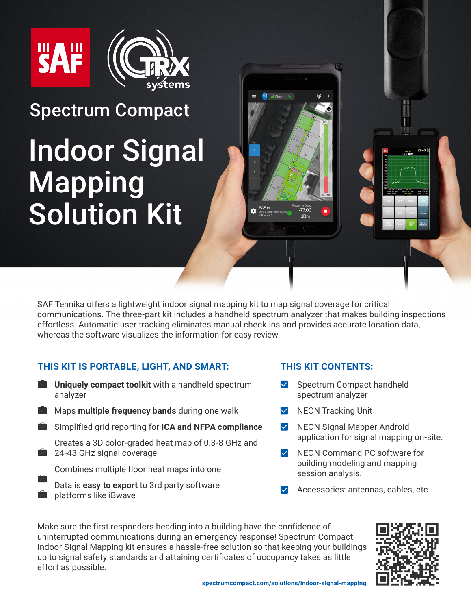



## Spectrum Compact

# [Indoor Signal](https://spectrumcompact.com/solutions/indoor-signal-mapping/) Mapping Solution Kit

SAF Tehnika offers a lightweight indoor signal mapping kit to map signal coverage for critical communications. The three-part kit includes a handheld spectrum analyzer that makes building inspections effortless. Automatic user tracking eliminates manual check-ins and provides accurate location data, whereas the software visualizes the information for easy review.

 $\overrightarrow{\text{N}}$  al Floor 4

#### **THIS KIT IS PORTABLE, LIGHT, AND SMART:**

- $\overline{\times}$ **Uniquely compact toolkit** with a handheld spectrum analyzer
- Maps **multiple frequency bands** during one walk
- Simplified grid reporting for **ICA and NFPA compliance**
	- Creates a 3D color-graded heat map of 0.3-8 GHz and 24-43 GHz signal coverage
		- Combines multiple floor heat maps into one
	- Data is **easy to export** to 3rd party software platforms like iBwave

#### **THIS KIT CONTENTS:**

- $\triangleright$  Spectrum Compact handheld spectrum analyzer
- $\blacktriangledown$ NEON Tracking Unit
- $\blacktriangledown$ NEON Signal Mapper Android application for signal mapping on-site.
- $\vee$  NEON Command PC software for building modeling and mapping session analysis.
- Accessories: antennas, cables, etc.

Make sure the first responders heading into a building have the confidence of uninterrupted communications during an emergency response! Spectrum Compact Indoor Signal Mapping kit ensures a hassle-free solution so that keeping your buildings up to signal safety standards and attaining certificates of occupancy takes as little effort as possible.